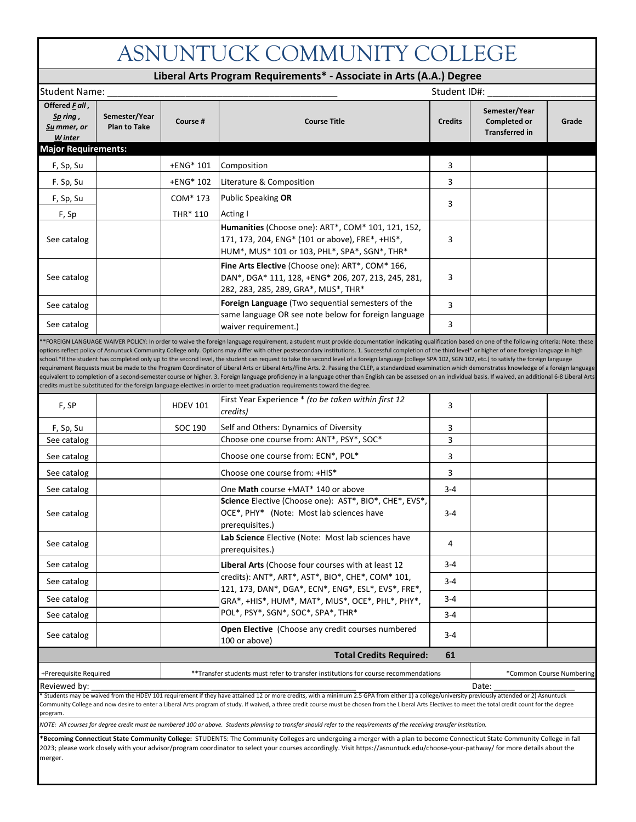## ASNUNTUCK COMMUNITY COLLEGE

|                                                      |                                      |                 | Liberal Arts Program Requirements* - Associate in Arts (A.A.) Degree                                                                                                                                                                                                                                                                                                                                                                                                                                                                                                                                                                                                                                                                                                                                                                                                                                                                                                                                                                                                                                                                                                                                  |                |                                                        |                          |  |
|------------------------------------------------------|--------------------------------------|-----------------|-------------------------------------------------------------------------------------------------------------------------------------------------------------------------------------------------------------------------------------------------------------------------------------------------------------------------------------------------------------------------------------------------------------------------------------------------------------------------------------------------------------------------------------------------------------------------------------------------------------------------------------------------------------------------------------------------------------------------------------------------------------------------------------------------------------------------------------------------------------------------------------------------------------------------------------------------------------------------------------------------------------------------------------------------------------------------------------------------------------------------------------------------------------------------------------------------------|----------------|--------------------------------------------------------|--------------------------|--|
| Student ID#:<br>Student Name:                        |                                      |                 |                                                                                                                                                                                                                                                                                                                                                                                                                                                                                                                                                                                                                                                                                                                                                                                                                                                                                                                                                                                                                                                                                                                                                                                                       |                |                                                        |                          |  |
| Offered Fall,<br>Sp ring ,<br>Su mmer, or<br>W inter | Semester/Year<br><b>Plan to Take</b> | Course #        | <b>Course Title</b>                                                                                                                                                                                                                                                                                                                                                                                                                                                                                                                                                                                                                                                                                                                                                                                                                                                                                                                                                                                                                                                                                                                                                                                   | <b>Credits</b> | Semester/Year<br>Completed or<br><b>Transferred in</b> | Grade                    |  |
| <b>Major Requirements:</b>                           |                                      |                 |                                                                                                                                                                                                                                                                                                                                                                                                                                                                                                                                                                                                                                                                                                                                                                                                                                                                                                                                                                                                                                                                                                                                                                                                       |                |                                                        |                          |  |
| F, Sp, Su                                            |                                      | +ENG* 101       | Composition                                                                                                                                                                                                                                                                                                                                                                                                                                                                                                                                                                                                                                                                                                                                                                                                                                                                                                                                                                                                                                                                                                                                                                                           | 3              |                                                        |                          |  |
| F. Sp, Su                                            |                                      | +ENG* 102       | Literature & Composition                                                                                                                                                                                                                                                                                                                                                                                                                                                                                                                                                                                                                                                                                                                                                                                                                                                                                                                                                                                                                                                                                                                                                                              | 3              |                                                        |                          |  |
| F, Sp, Su                                            |                                      | COM* 173        | <b>Public Speaking OR</b>                                                                                                                                                                                                                                                                                                                                                                                                                                                                                                                                                                                                                                                                                                                                                                                                                                                                                                                                                                                                                                                                                                                                                                             |                |                                                        |                          |  |
| F, Sp                                                |                                      | THR* 110        | Acting I                                                                                                                                                                                                                                                                                                                                                                                                                                                                                                                                                                                                                                                                                                                                                                                                                                                                                                                                                                                                                                                                                                                                                                                              | 3              |                                                        |                          |  |
| See catalog                                          |                                      |                 | Humanities (Choose one): ART*, COM* 101, 121, 152,<br>171, 173, 204, ENG* (101 or above), FRE*, +HIS*,<br>HUM*, MUS* 101 or 103, PHL*, SPA*, SGN*, THR*                                                                                                                                                                                                                                                                                                                                                                                                                                                                                                                                                                                                                                                                                                                                                                                                                                                                                                                                                                                                                                               | 3              |                                                        |                          |  |
| See catalog                                          |                                      |                 | Fine Arts Elective (Choose one): ART*, COM* 166,<br>DAN*, DGA* 111, 128, +ENG* 206, 207, 213, 245, 281,<br>282, 283, 285, 289, GRA*, MUS*, THR*                                                                                                                                                                                                                                                                                                                                                                                                                                                                                                                                                                                                                                                                                                                                                                                                                                                                                                                                                                                                                                                       | 3              |                                                        |                          |  |
| See catalog                                          |                                      |                 | Foreign Language (Two sequential semesters of the                                                                                                                                                                                                                                                                                                                                                                                                                                                                                                                                                                                                                                                                                                                                                                                                                                                                                                                                                                                                                                                                                                                                                     | 3              |                                                        |                          |  |
| See catalog                                          |                                      |                 | same language OR see note below for foreign language<br>waiver requirement.)                                                                                                                                                                                                                                                                                                                                                                                                                                                                                                                                                                                                                                                                                                                                                                                                                                                                                                                                                                                                                                                                                                                          | 3              |                                                        |                          |  |
|                                                      |                                      |                 | *FOREIGN LANGUAGE WAIVER POLICY: In order to waive the foreign language requirement, a student must provide documentation indicating qualification based on one of the following criteria: Note: these<br>options reflect policy of Asnuntuck Community College only. Options may differ with other postsecondary institutions. 1. Successful completion of the third level* or higher of one foreign language in high<br>school.*If the student has completed only up to the second level, the student can request to take the second level of a foreign language (college SPA 102, SGN 102, etc.) to satisfy the foreign language<br>requirement Requests must be made to the Program Coordinator of Liberal Arts or Liberal Arts/Fine Arts. 2. Passing the CLEP, a standardized examination which demonstrates knowledge of a foreign language<br>equivalent to completion of a second-semester course or higher. 3. Foreign language proficiency in a language other than English can be assessed on an individual basis. If waived, an additional 6-8 Liberal Arts<br>credits must be substituted for the foreign language electives in order to meet graduation requirements toward the degree. |                |                                                        |                          |  |
| F, SP                                                |                                      | <b>HDEV 101</b> | First Year Experience * (to be taken within first 12<br>credits)                                                                                                                                                                                                                                                                                                                                                                                                                                                                                                                                                                                                                                                                                                                                                                                                                                                                                                                                                                                                                                                                                                                                      | 3              |                                                        |                          |  |
| F, Sp, Su                                            |                                      | SOC 190         | Self and Others: Dynamics of Diversity                                                                                                                                                                                                                                                                                                                                                                                                                                                                                                                                                                                                                                                                                                                                                                                                                                                                                                                                                                                                                                                                                                                                                                | 3              |                                                        |                          |  |
| See catalog                                          |                                      |                 | Choose one course from: ANT*, PSY*, SOC*                                                                                                                                                                                                                                                                                                                                                                                                                                                                                                                                                                                                                                                                                                                                                                                                                                                                                                                                                                                                                                                                                                                                                              | 3              |                                                        |                          |  |
| See catalog                                          |                                      |                 | Choose one course from: ECN*, POL*                                                                                                                                                                                                                                                                                                                                                                                                                                                                                                                                                                                                                                                                                                                                                                                                                                                                                                                                                                                                                                                                                                                                                                    | 3              |                                                        |                          |  |
| See catalog                                          |                                      |                 | Choose one course from: +HIS*                                                                                                                                                                                                                                                                                                                                                                                                                                                                                                                                                                                                                                                                                                                                                                                                                                                                                                                                                                                                                                                                                                                                                                         | 3              |                                                        |                          |  |
| See catalog                                          |                                      |                 | One Math course +MAT* 140 or above                                                                                                                                                                                                                                                                                                                                                                                                                                                                                                                                                                                                                                                                                                                                                                                                                                                                                                                                                                                                                                                                                                                                                                    | $3 - 4$        |                                                        |                          |  |
| See catalog                                          |                                      |                 | Science Elective (Choose one): AST*, BIO*, CHE*, EVS*,<br>OCE*, PHY* (Note: Most lab sciences have<br>prerequisites.)                                                                                                                                                                                                                                                                                                                                                                                                                                                                                                                                                                                                                                                                                                                                                                                                                                                                                                                                                                                                                                                                                 | $3 - 4$        |                                                        |                          |  |
| See catalog                                          |                                      |                 | Lab Science Elective (Note: Most lab sciences have<br>prerequisites.)                                                                                                                                                                                                                                                                                                                                                                                                                                                                                                                                                                                                                                                                                                                                                                                                                                                                                                                                                                                                                                                                                                                                 | 4              |                                                        |                          |  |
| See catalog                                          |                                      |                 | Liberal Arts (Choose four courses with at least 12                                                                                                                                                                                                                                                                                                                                                                                                                                                                                                                                                                                                                                                                                                                                                                                                                                                                                                                                                                                                                                                                                                                                                    | $3 - 4$        |                                                        |                          |  |
| See catalog                                          |                                      |                 | credits): ANT*, ART*, AST*, BIO*, CHE*, COM* 101,                                                                                                                                                                                                                                                                                                                                                                                                                                                                                                                                                                                                                                                                                                                                                                                                                                                                                                                                                                                                                                                                                                                                                     | $3 - 4$        |                                                        |                          |  |
| See catalog                                          |                                      |                 | 121, 173, DAN*, DGA*, ECN*, ENG*, ESL*, EVS*, FRE*,<br>GRA*, +HIS*, HUM*, MAT*, MUS*, OCE*, PHL*, PHY*,                                                                                                                                                                                                                                                                                                                                                                                                                                                                                                                                                                                                                                                                                                                                                                                                                                                                                                                                                                                                                                                                                               | $3 - 4$        |                                                        |                          |  |
| See catalog                                          |                                      |                 | POL*, PSY*, SGN*, SOC*, SPA*, THR*                                                                                                                                                                                                                                                                                                                                                                                                                                                                                                                                                                                                                                                                                                                                                                                                                                                                                                                                                                                                                                                                                                                                                                    | $3 - 4$        |                                                        |                          |  |
| See catalog                                          |                                      |                 | Open Elective (Choose any credit courses numbered<br>100 or above)                                                                                                                                                                                                                                                                                                                                                                                                                                                                                                                                                                                                                                                                                                                                                                                                                                                                                                                                                                                                                                                                                                                                    | 3-4            |                                                        |                          |  |
|                                                      |                                      |                 | <b>Total Credits Required:</b>                                                                                                                                                                                                                                                                                                                                                                                                                                                                                                                                                                                                                                                                                                                                                                                                                                                                                                                                                                                                                                                                                                                                                                        | 61             |                                                        |                          |  |
| +Prerequisite Required                               |                                      |                 | **Transfer students must refer to transfer institutions for course recommendations                                                                                                                                                                                                                                                                                                                                                                                                                                                                                                                                                                                                                                                                                                                                                                                                                                                                                                                                                                                                                                                                                                                    |                |                                                        | *Common Course Numbering |  |
| Reviewed by:                                         |                                      |                 | Students may be waived from the HDEV 101 requirement if they have attained 12 or more credits, with a minimum 2.5 GPA from either 1) a college/university previously attended or 2) Asnuntuck                                                                                                                                                                                                                                                                                                                                                                                                                                                                                                                                                                                                                                                                                                                                                                                                                                                                                                                                                                                                         | Date:          |                                                        |                          |  |
| program.                                             |                                      |                 | Community College and now desire to enter a Liberal Arts program of study. If waived, a three credit course must be chosen from the Liberal Arts Electives to meet the total credit count for the degree                                                                                                                                                                                                                                                                                                                                                                                                                                                                                                                                                                                                                                                                                                                                                                                                                                                                                                                                                                                              |                |                                                        |                          |  |
|                                                      |                                      |                 | NOTE: All courses for degree credit must be numbered 100 or above. Students planning to transfer should refer to the requirements of the receiving transfer institution.<br>*Becoming Connecticut State Community College: STUDENTS: The Community Colleges are undergoing a merger with a plan to become Connecticut State Community College in fall                                                                                                                                                                                                                                                                                                                                                                                                                                                                                                                                                                                                                                                                                                                                                                                                                                                 |                |                                                        |                          |  |

**Ilege:** STUDENTS: The Community Colleges are undergoing a merger with a plan to become Connecticut State Community College in fall 2023; please work closely with your advisor/program coordinator to select your courses accordingly. Visit https://asnuntuck.edu/choose-your-pathway/ for more details about the merger.